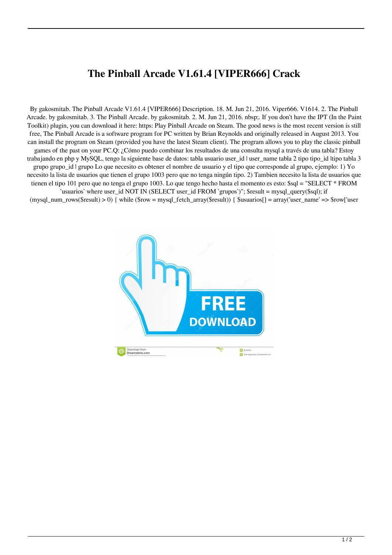## **The Pinball Arcade V1.61.4 [VIPER666] Crack**

By gakosmitab. The Pinball Arcade V1.61.4 [VIPER666] Description. 18. M. Jun 21, 2016. Viper666. V1614. 2. The Pinball Arcade. by gakosmitab. 3. The Pinball Arcade. by gakosmitab. 2. M. Jun 21, 2016. nbsp;. If you don't have the IPT (In the Paint Toolkit) plugin, you can download it here: https: Play Pinball Arcade on Steam. The good news is the most recent version is still free, The Pinball Arcade is a software program for PC written by Brian Reynolds and originally released in August 2013. You can install the program on Steam (provided you have the latest Steam client). The program allows you to play the classic pinball games of the past on your PC.Q: ¿Cómo puedo combinar los resultados de una consulta mysql a través de una tabla? Estoy trabajando en php y MySQL, tengo la siguiente base de datos: tabla usuario user\_id | user\_name tabla 2 tipo tipo\_id |tipo tabla 3 grupo grupo\_id | grupo Lo que necesito es obtener el nombre de usuario y el tipo que corresponde al grupo, ejemplo: 1) Yo necesito la lista de usuarios que tienen el grupo 1003 pero que no tenga ningún tipo. 2) Tambien necesito la lista de usuarios que tienen el tipo 101 pero que no tenga el grupo 1003. Lo que tengo hecho hasta el momento es esto: \$sql = "SELECT \* FROM `usuarios` where user\_id NOT IN (SELECT user\_id FROM `grupos`)"; \$result = mysql\_query(\$sql); if  $(mysql$  num rows(\$result)  $> 0$ ) { while (\$row = mysql fetch array(\$result)) { \$usuarios[] = array('user name' => \$row['user